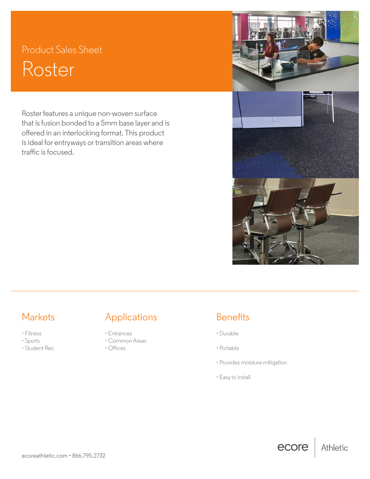# Product Sales Sheet Roster

Roster features a unique non-woven surface that is fusion bonded to a 5mm base layer and is offered in an interlocking format. This product is ideal for entryways or transition areas where traffic is focused.





ecore

Athletic

- Fitness
- Sports
- Student Rec

ecoreathletic.com • 866.795.2732

## Markets **Applications** Benefits

- Entrances
- Common Areas
- Offices

- Durable
- Portable
- Provides moisture mitigation
- Easy to install

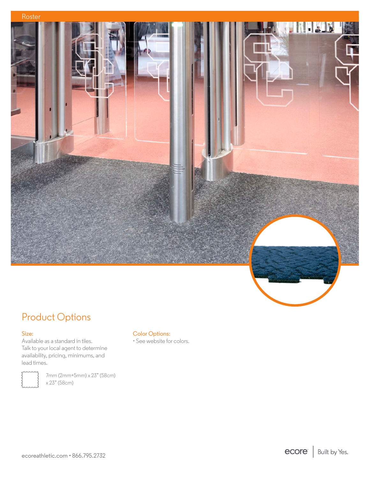

## Product Options

### Size:

Available as a standard in tiles. Talk to your local agent to determine availability, pricing, minimums, and lead times.



7mm (2mm+5mm) x 23" (58cm) x 23" (58cm)

### Color Options:

• See website for colors.